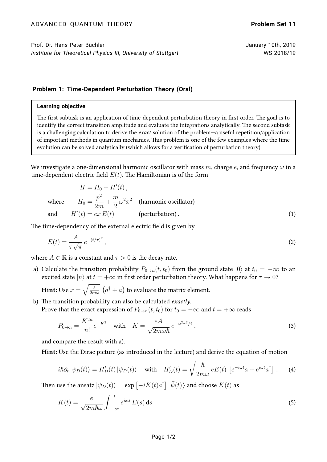## **Problem 1: Time-Dependent Perturbation Theory (Oral)**

## **Learning objective**

The first subtask is an application of time-dependent perturbation theory in first order. The goal is to identify the correct transition amplitude and evaluate the integrations analytically. The second subtask is a challenging calculation to derive the exact solution of the problem—a useful repetition/application of important methods in quantum mechanics. This problem is one of the few examples where the time evolution can be solved analytically (which allows for a verification of perturbation theory).

We investigate a one-dimensional harmonic oscillator with mass m, charge e, and frequency  $\omega$  in a time-dependent electric field  $E(t)$ . The Hamiltonian is of the form

$$
H = H_0 + H'(t),
$$
  
where  $H_0 = \frac{p^2}{2m} + \frac{m}{2}\omega^2 x^2$  (harmonic oscillator)  
and  $H'(t) = ex E(t)$  (perturbation). (1)

The time-dependency of the external electric field is given by

$$
E(t) = \frac{A}{\tau \sqrt{\pi}} e^{-(t/\tau)^2},\tag{2}
$$

where  $A \in \mathbb{R}$  is a constant and  $\tau > 0$  is the decay rate.

a) Calculate the transition probability  $P_{0\to n}(t, t_0)$  from the ground state  $|0\rangle$  at  $t_0 = -\infty$  to an excited state  $|n\rangle$  at  $t = +\infty$  in first order perturbation theory. What happens for  $\tau \to 0$ ?

**Hint:** Use  $x = \sqrt{\frac{\hbar}{2m\omega}} \, \left(a^\dagger + a\right)$  to evaluate the matrix element.

b) The transition probability can also be calculated *exactly*. Prove that the exact expression of  $P_{0\rightarrow n}(t, t_0)$  for  $t_0 = -\infty$  and  $t = +\infty$  reads

$$
P_{0\to n} = \frac{K^{2n}}{n!}e^{-K^2} \quad \text{with} \quad K = \frac{eA}{\sqrt{2m\omega\hbar}}e^{-\omega^2\tau^2/4},\tag{3}
$$

and compare the result with a).

Hint: Use the Dirac picture (as introduced in the lecture) and derive the equation of motion

$$
i\hbar \partial_t |\psi_D(t)\rangle = H'_D(t) |\psi_D(t)\rangle \quad \text{with} \quad H'_D(t) = \sqrt{\frac{\hbar}{2m\omega}} eE(t) \left[ e^{-i\omega t} a + e^{i\omega t} a^{\dagger} \right]. \tag{4}
$$

Then use the ansatz  $\ket{\psi_D(t)} = \exp\left[-iK(t)a^\dagger\right]\left|\bar{\psi}(t)\right>$  and choose  $K(t)$  as

$$
K(t) = \frac{e}{\sqrt{2m\hbar\omega}} \int_{-\infty}^{t} e^{i\omega s} E(s) \, \mathrm{d}s \tag{5}
$$